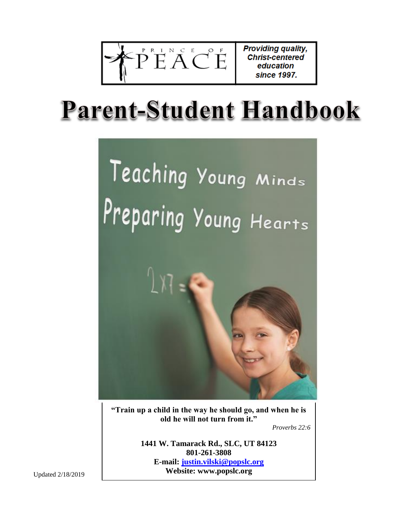$-p^{\frac{p}{2}}E^{\frac{N}{2}}A^{\frac{C}{2}}C^{\frac{F}{2}}E^{\frac{C}{2}}$ 

Providing quality, **Christ-centered** education since 1997.

# **Parent-Student Handbook**



**"Train up a child in the way he should go, and when he is old he will not turn from it."**

*Proverbs 22:6*

**1441 W. Tamarack Rd., SLC, UT 84123 801-261-3808 E-mail: [justin.vilski@popslc.org](mailto:justin.vilski@popslc.org) Website: www.popslc.org**

Updated 2/18/2019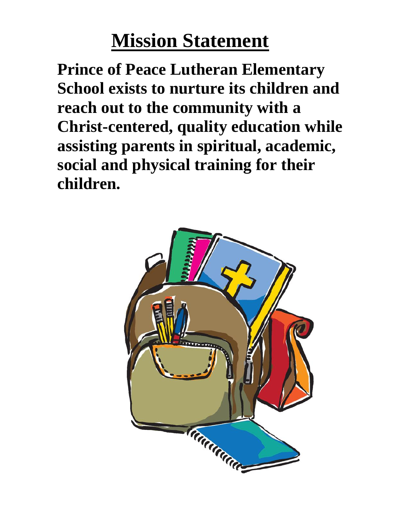# **Mission Statement**

**Prince of Peace Lutheran Elementary School exists to nurture its children and reach out to the community with a Christ-centered, quality education while assisting parents in spiritual, academic, social and physical training for their children.** 

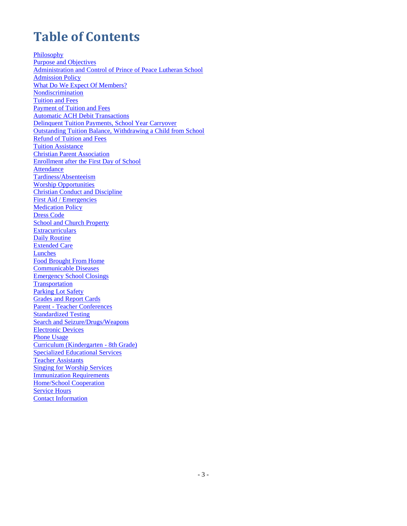# **Table of Contents**

[Philosophy](#page-3-0) [Purpose and Objectives](#page-4-0) [Administration and Control of Prince of Peace Lutheran School](#page-5-0) [Admission Policy](#page-5-1) [What Do We Expect Of Members?](#page-6-0) [Nondiscrimination](#page-7-0) [Tuition and Fees](#page-7-1) [Payment of Tuition and Fees](#page-7-2) [Automatic ACH Debit Transactions](#page-8-0) Delinquent Tuition Payments, School Year Carryover [Outstanding Tuition Balance, Withdrawing a Child from School](#page-9-0) [Refund of Tuition and Fees](#page-9-1) **[Tuition Assistance](#page-10-0)** Christian Parent Associatio[n](#page-10-0) [Enrollment after the First Day of School](#page-10-1) [Attendance](#page-10-2) [Tardiness/Absenteeism](#page-10-3) [Worship Opportunities](#page-11-0) [Christian Conduct and Discipline](#page-11-1) [First Aid / Emergencies](#page-12-0) **Medication Policy** [Dress Code](#page-13-0) School and Church Property **[Extracurriculars](#page-14-0) [Daily Routine](#page-14-1)** [Extended Care](#page-15-0) **Lunches** [Food Brought From Home](#page-15-1) [Communicable Diseases](#page-15-2) [Emergency School Closings](#page-17-0) **[Transportation](#page-17-1)** [Parking Lot Safety](#page-17-2) [Grades and Report Cards](#page-17-3) Parent - [Teacher Conferences](#page-17-4) [Standardized Testing](#page-17-5) Search and Seizure/Drugs/Weapons [Electronic Devices](#page-18-0) [Phone Usage](#page-18-1) [Curriculum \(Kindergarten -](#page-19-0) 8th Grade[\)](#page-19-0) [Specialized Educational Services](#page-19-1) [Teacher Assistants](#page-19-2) Singing for Worship Services [Immunization Requirements](#page-20-0) [Home/School Cooperation](#page-20-1) [Service](#page-21-0) Hour[s](#page-21-0) Contact Information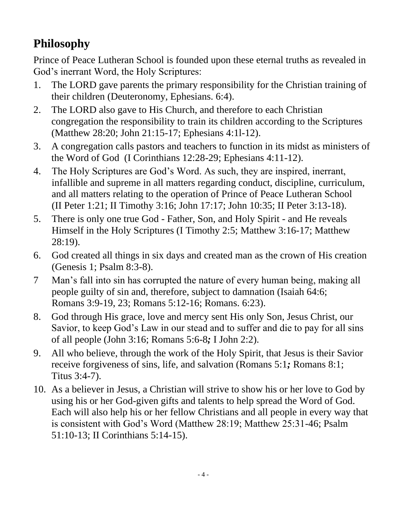# <span id="page-3-0"></span>**Philosophy**

Prince of Peace Lutheran School is founded upon these eternal truths as revealed in God's inerrant Word, the Holy Scriptures:

- 1. The LORD gave parents the primary responsibility for the Christian training of their children (Deuteronomy, Ephesians. 6:4).
- 2. The LORD also gave to His Church, and therefore to each Christian congregation the responsibility to train its children according to the Scriptures (Matthew 28:20; John 21:15-17; Ephesians 4:1l-12).
- 3. A congregation calls pastors and teachers to function in its midst as ministers of the Word of God (I Corinthians 12:28-29; Ephesians 4:11-12).
- 4. The Holy Scriptures are God's Word. As such, they are inspired, inerrant, infallible and supreme in all matters regarding conduct, discipline, curriculum, and all matters relating to the operation of Prince of Peace Lutheran School (II Peter 1:21; II Timothy 3:16; John 17:17; John 10:35; II Peter 3:13-18).
- 5. There is only one true God Father, Son, and Holy Spirit and He reveals Himself in the Holy Scriptures (I Timothy 2:5; Matthew 3:16-17; Matthew 28:19).
- 6. God created all things in six days and created man as the crown of His creation (Genesis 1; Psalm 8:3-8).
- 7 Man's fall into sin has corrupted the nature of every human being, making all people guilty of sin and, therefore, subject to damnation (Isaiah 64:6; Romans 3:9-19, 23; Romans 5:12-16; Romans. 6:23).
- 8. God through His grace, love and mercy sent His only Son, Jesus Christ, our Savior, to keep God's Law in our stead and to suffer and die to pay for all sins of all people (John 3:16; Romans 5:6-8*;* I John 2:2).
- 9. All who believe, through the work of the Holy Spirit, that Jesus is their Savior receive forgiveness of sins, life, and salvation (Romans 5:1*;* Romans 8:1; Titus 3:4-7).
- 10. As a believer in Jesus, a Christian will strive to show his or her love to God by using his or her God-given gifts and talents to help spread the Word of God. Each will also help his or her fellow Christians and all people in every way that is consistent with God's Word (Matthew 28:19; Matthew 25:31-46; Psalm 51:10-13; II Corinthians 5:14-15).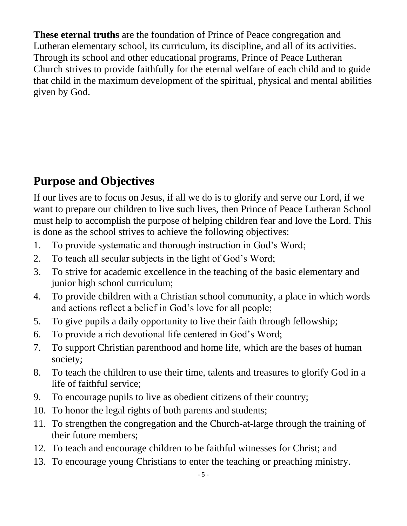**These eternal truths** are the foundation of Prince of Peace congregation and Lutheran elementary school, its curriculum, its discipline, and all of its activities. Through its school and other educational programs, Prince of Peace Lutheran Church strives to provide faithfully for the eternal welfare of each child and to guide that child in the maximum development of the spiritual, physical and mental abilities given by God.

# <span id="page-4-0"></span>**Purpose and Objectives**

If our lives are to focus on Jesus, if all we do is to glorify and serve our Lord, if we want to prepare our children to live such lives, then Prince of Peace Lutheran School must help to accomplish the purpose of helping children fear and love the Lord. This is done as the school strives to achieve the following objectives:

- 1. To provide systematic and thorough instruction in God's Word;
- 2. To teach all secular subjects in the light of God's Word;
- 3. To strive for academic excellence in the teaching of the basic elementary and junior high school curriculum;
- 4. To provide children with a Christian school community, a place in which words and actions reflect a belief in God's love for all people;
- 5. To give pupils a daily opportunity to live their faith through fellowship;
- 6. To provide a rich devotional life centered in God's Word;
- 7. To support Christian parenthood and home life, which are the bases of human society;
- 8. To teach the children to use their time, talents and treasures to glorify God in a life of faithful service;
- 9. To encourage pupils to live as obedient citizens of their country;
- 10. To honor the legal rights of both parents and students;
- 11. To strengthen the congregation and the Church-at-large through the training of their future members;
- 12. To teach and encourage children to be faithful witnesses for Christ; and
- 13. To encourage young Christians to enter the teaching or preaching ministry.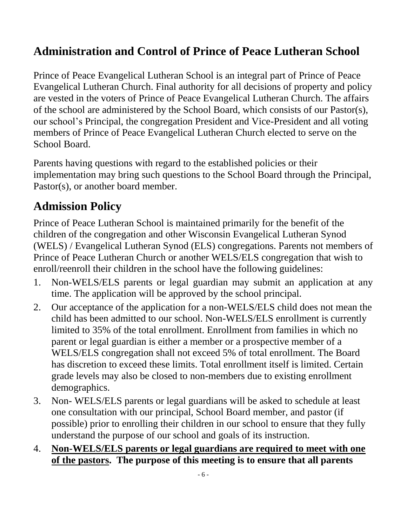#### <span id="page-5-0"></span>**Administration and Control of Prince of Peace Lutheran School**

Prince of Peace Evangelical Lutheran School is an integral part of Prince of Peace Evangelical Lutheran Church. Final authority for all decisions of property and policy are vested in the voters of Prince of Peace Evangelical Lutheran Church. The affairs of the school are administered by the School Board, which consists of our Pastor(s), our school's Principal, the congregation President and Vice-President and all voting members of Prince of Peace Evangelical Lutheran Church elected to serve on the School Board.

Parents having questions with regard to the established policies or their implementation may bring such questions to the School Board through the Principal, Pastor(s), or another board member.

## <span id="page-5-1"></span>**Admission Policy**

Prince of Peace Lutheran School is maintained primarily for the benefit of the children of the congregation and other Wisconsin Evangelical Lutheran Synod (WELS) / Evangelical Lutheran Synod (ELS) congregations. Parents not members of Prince of Peace Lutheran Church or another WELS/ELS congregation that wish to enroll/reenroll their children in the school have the following guidelines:

- 1. Non-WELS/ELS parents or legal guardian may submit an application at any time. The application will be approved by the school principal.
- 2. Our acceptance of the application for a non-WELS/ELS child does not mean the child has been admitted to our school. Non-WELS/ELS enrollment is currently limited to 35% of the total enrollment. Enrollment from families in which no parent or legal guardian is either a member or a prospective member of a WELS/ELS congregation shall not exceed 5% of total enrollment. The Board has discretion to exceed these limits. Total enrollment itself is limited. Certain grade levels may also be closed to non-members due to existing enrollment demographics.
- 3. Non- WELS/ELS parents or legal guardians will be asked to schedule at least one consultation with our principal, School Board member, and pastor (if possible) prior to enrolling their children in our school to ensure that they fully understand the purpose of our school and goals of its instruction.
- 4. **Non-WELS/ELS parents or legal guardians are required to meet with one of the pastors. The purpose of this meeting is to ensure that all parents**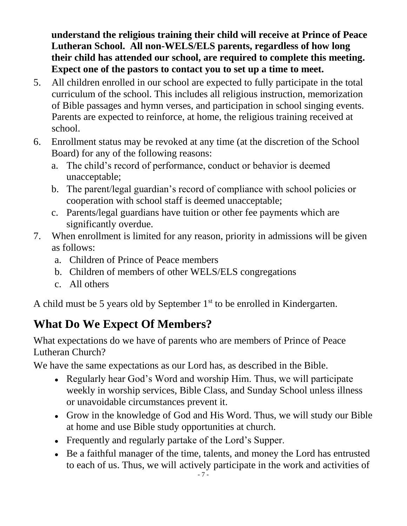**understand the religious training their child will receive at Prince of Peace Lutheran School. All non-WELS/ELS parents, regardless of how long their child has attended our school, are required to complete this meeting. Expect one of the pastors to contact you to set up a time to meet.** 

- 5. All children enrolled in our school are expected to fully participate in the total curriculum of the school. This includes all religious instruction, memorization of Bible passages and hymn verses, and participation in school singing events. Parents are expected to reinforce, at home, the religious training received at school.
- 6. Enrollment status may be revoked at any time (at the discretion of the School Board) for any of the following reasons:
	- a. The child's record of performance, conduct or behavior is deemed unacceptable;
	- b. The parent/legal guardian's record of compliance with school policies or cooperation with school staff is deemed unacceptable;
	- c. Parents/legal guardians have tuition or other fee payments which are significantly overdue.
- 7. When enrollment is limited for any reason, priority in admissions will be given as follows:
	- a. Children of Prince of Peace members
	- b. Children of members of other WELS/ELS congregations
	- c. All others

A child must be 5 years old by September  $1<sup>st</sup>$  to be enrolled in Kindergarten.

# <span id="page-6-0"></span>**What Do We Expect Of Members?**

What expectations do we have of parents who are members of Prince of Peace Lutheran Church?

We have the same expectations as our Lord has, as described in the Bible.

- Regularly hear God's Word and worship Him. Thus, we will participate weekly in worship services, Bible Class, and Sunday School unless illness or unavoidable circumstances prevent it.
- Grow in the knowledge of God and His Word. Thus, we will study our Bible at home and use Bible study opportunities at church.
- Frequently and regularly partake of the Lord's Supper.
- Be a faithful manager of the time, talents, and money the Lord has entrusted to each of us. Thus, we will actively participate in the work and activities of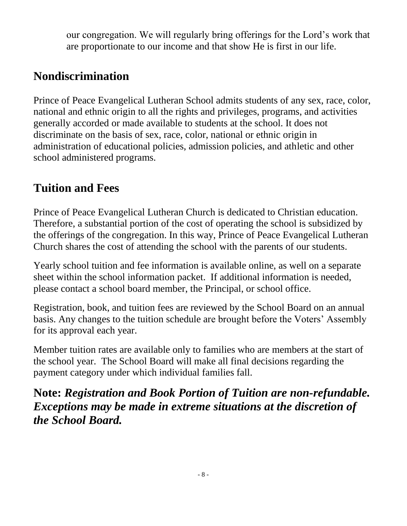our congregation. We will regularly bring offerings for the Lord's work that are proportionate to our income and that show He is first in our life.

#### <span id="page-7-0"></span>**Nondiscrimination**

Prince of Peace Evangelical Lutheran School admits students of any sex, race, color, national and ethnic origin to all the rights and privileges, programs, and activities generally accorded or made available to students at the school. It does not discriminate on the basis of sex, race, color, national or ethnic origin in administration of educational policies, admission policies, and athletic and other school administered programs.

#### <span id="page-7-1"></span>**Tuition and Fees**

Prince of Peace Evangelical Lutheran Church is dedicated to Christian education. Therefore, a substantial portion of the cost of operating the school is subsidized by the offerings of the congregation. In this way, Prince of Peace Evangelical Lutheran Church shares the cost of attending the school with the parents of our students.

Yearly school tuition and fee information is available online, as well on a separate sheet within the school information packet. If additional information is needed, please contact a school board member, the Principal, or school office.

Registration, book, and tuition fees are reviewed by the School Board on an annual basis. Any changes to the tuition schedule are brought before the Voters' Assembly for its approval each year.

Member tuition rates are available only to families who are members at the start of the school year. The School Board will make all final decisions regarding the payment category under which individual families fall.

<span id="page-7-2"></span>**Note:** *Registration and Book Portion of Tuition are non-refundable. Exceptions may be made in extreme situations at the discretion of the School Board.*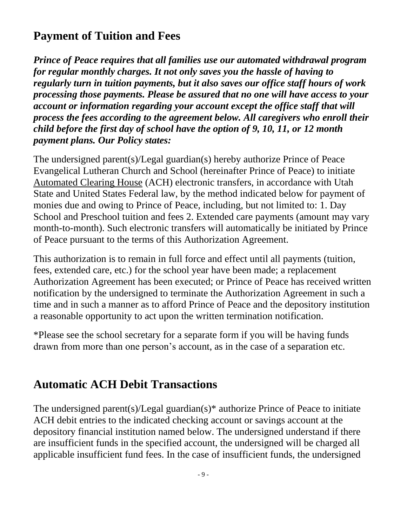#### **Payment of Tuition and Fees**

*Prince of Peace requires that all families use our automated withdrawal program for regular monthly charges. It not only saves you the hassle of having to regularly turn in tuition payments, but it also saves our office staff hours of work processing those payments. Please be assured that no one will have access to your account or information regarding your account except the office staff that will process the fees according to the agreement below. All caregivers who enroll their child before the first day of school have the option of 9, 10, 11, or 12 month payment plans. Our Policy states:*

The undersigned parent(s)/Legal guardian(s) hereby authorize Prince of Peace Evangelical Lutheran Church and School (hereinafter Prince of Peace) to initiate Automated Clearing House (ACH) electronic transfers, in accordance with Utah State and United States Federal law, by the method indicated below for payment of monies due and owing to Prince of Peace, including, but not limited to: 1. Day School and Preschool tuition and fees 2. Extended care payments (amount may vary month-to-month). Such electronic transfers will automatically be initiated by Prince of Peace pursuant to the terms of this Authorization Agreement.

This authorization is to remain in full force and effect until all payments (tuition, fees, extended care, etc.) for the school year have been made; a replacement Authorization Agreement has been executed; or Prince of Peace has received written notification by the undersigned to terminate the Authorization Agreement in such a time and in such a manner as to afford Prince of Peace and the depository institution a reasonable opportunity to act upon the written termination notification.

\*Please see the school secretary for a separate form if you will be having funds drawn from more than one person's account, as in the case of a separation etc.

#### <span id="page-8-0"></span>**Automatic ACH Debit Transactions**

The undersigned parent(s)/Legal guardian(s)\* authorize Prince of Peace to initiate ACH debit entries to the indicated checking account or savings account at the depository financial institution named below. The undersigned understand if there are insufficient funds in the specified account, the undersigned will be charged all applicable insufficient fund fees. In the case of insufficient funds, the undersigned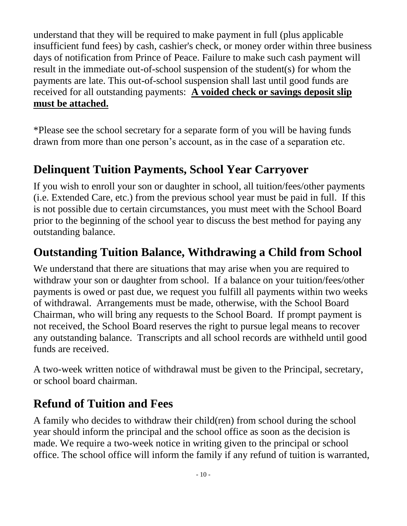understand that they will be required to make payment in full (plus applicable insufficient fund fees) by cash, cashier's check, or money order within three business days of notification from Prince of Peace. Failure to make such cash payment will result in the immediate out-of-school suspension of the student(s) for whom the payments are late. This out-of-school suspension shall last until good funds are received for all outstanding payments: **A voided check or savings deposit slip must be attached.**

\*Please see the school secretary for a separate form of you will be having funds drawn from more than one person's account, as in the case of a separation etc.

#### **Delinquent Tuition Payments, School Year Carryover**

If you wish to enroll your son or daughter in school, all tuition/fees/other payments (i.e. Extended Care, etc.) from the previous school year must be paid in full. If this is not possible due to certain circumstances, you must meet with the School Board prior to the beginning of the school year to discuss the best method for paying any outstanding balance.

#### <span id="page-9-0"></span>**Outstanding Tuition Balance, Withdrawing a Child from School**

We understand that there are situations that may arise when you are required to withdraw your son or daughter from school. If a balance on your tuition/fees/other payments is owed or past due, we request you fulfill all payments within two weeks of withdrawal. Arrangements must be made, otherwise, with the School Board Chairman, who will bring any requests to the School Board. If prompt payment is not received, the School Board reserves the right to pursue legal means to recover any outstanding balance. Transcripts and all school records are withheld until good funds are received.

<span id="page-9-1"></span>A two-week written notice of withdrawal must be given to the Principal, secretary, or school board chairman.

#### **Refund of Tuition and Fees**

A family who decides to withdraw their child(ren) from school during the school year should inform the principal and the school office as soon as the decision is made. We require a two-week notice in writing given to the principal or school office. The school office will inform the family if any refund of tuition is warranted,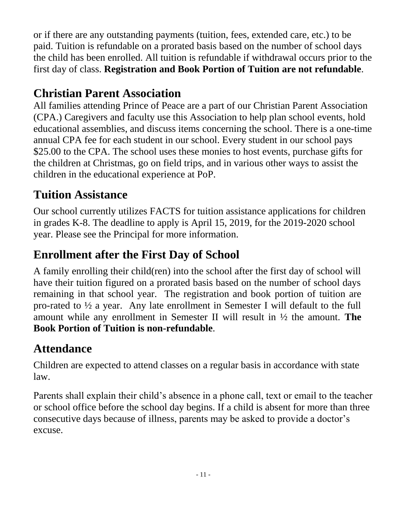or if there are any outstanding payments (tuition, fees, extended care, etc.) to be paid. Tuition is refundable on a prorated basis based on the number of school days the child has been enrolled. All tuition is refundable if withdrawal occurs prior to the first day of class. **Registration and Book Portion of Tuition are not refundable**.

## **Christian Parent Association**

All families attending Prince of Peace are a part of our Christian Parent Association (CPA.) Caregivers and faculty use this Association to help plan school events, hold educational assemblies, and discuss items concerning the school. There is a one-time annual CPA fee for each student in our school. Every student in our school pays \$25.00 to the CPA. The school uses these monies to host events, purchase gifts for the children at Christmas, go on field trips, and in various other ways to assist the children in the educational experience at PoP.

#### <span id="page-10-0"></span>**Tuition Assistance**

Our school currently utilizes FACTS for tuition assistance applications for children in grades K-8. The deadline to apply is April 15, 2019, for the 2019-2020 school year. Please see the Principal for more information.

## <span id="page-10-1"></span>**Enrollment after the First Day of School**

A family enrolling their child(ren) into the school after the first day of school will have their tuition figured on a prorated basis based on the number of school days remaining in that school year. The registration and book portion of tuition are pro-rated to ½ a year. Any late enrollment in Semester I will default to the full amount while any enrollment in Semester II will result in ½ the amount. **The Book Portion of Tuition is non-refundable**.

#### <span id="page-10-2"></span>**Attendance**

Children are expected to attend classes on a regular basis in accordance with state law.

<span id="page-10-3"></span>Parents shall explain their child's absence in a phone call, text or email to the teacher or school office before the school day begins. If a child is absent for more than three consecutive days because of illness, parents may be asked to provide a doctor's excuse.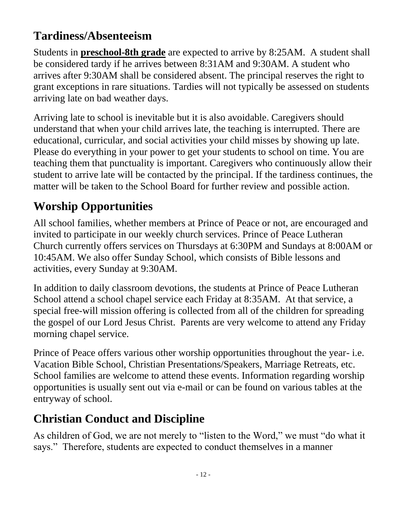#### **Tardiness/Absenteeism**

Students in **preschool-8th grade** are expected to arrive by 8:25AM. A student shall be considered tardy if he arrives between 8:31AM and 9:30AM. A student who arrives after 9:30AM shall be considered absent. The principal reserves the right to grant exceptions in rare situations. Tardies will not typically be assessed on students arriving late on bad weather days.

Arriving late to school is inevitable but it is also avoidable. Caregivers should understand that when your child arrives late, the teaching is interrupted. There are educational, curricular, and social activities your child misses by showing up late. Please do everything in your power to get your students to school on time. You are teaching them that punctuality is important. Caregivers who continuously allow their student to arrive late will be contacted by the principal. If the tardiness continues, the matter will be taken to the School Board for further review and possible action.

# <span id="page-11-0"></span>**Worship Opportunities**

All school families, whether members at Prince of Peace or not, are encouraged and invited to participate in our weekly church services. Prince of Peace Lutheran Church currently offers services on Thursdays at 6:30PM and Sundays at 8:00AM or 10:45AM. We also offer Sunday School, which consists of Bible lessons and activities, every Sunday at 9:30AM.

In addition to daily classroom devotions, the students at Prince of Peace Lutheran School attend a school chapel service each Friday at 8:35AM. At that service, a special free-will mission offering is collected from all of the children for spreading the gospel of our Lord Jesus Christ. Parents are very welcome to attend any Friday morning chapel service.

Prince of Peace offers various other worship opportunities throughout the year- i.e. Vacation Bible School, Christian Presentations/Speakers, Marriage Retreats, etc. School families are welcome to attend these events. Information regarding worship opportunities is usually sent out via e-mail or can be found on various tables at the entryway of school.

# <span id="page-11-1"></span>**Christian Conduct and Discipline**

As children of God, we are not merely to "listen to the Word," we must "do what it says." Therefore, students are expected to conduct themselves in a manner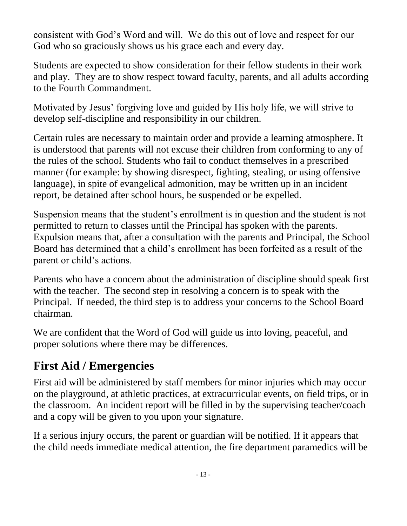consistent with God's Word and will. We do this out of love and respect for our God who so graciously shows us his grace each and every day.

Students are expected to show consideration for their fellow students in their work and play. They are to show respect toward faculty, parents, and all adults according to the Fourth Commandment.

Motivated by Jesus' forgiving love and guided by His holy life, we will strive to develop self-discipline and responsibility in our children.

Certain rules are necessary to maintain order and provide a learning atmosphere. It is understood that parents will not excuse their children from conforming to any of the rules of the school. Students who fail to conduct themselves in a prescribed manner (for example: by showing disrespect, fighting, stealing, or using offensive language), in spite of evangelical admonition, may be written up in an incident report, be detained after school hours, be suspended or be expelled.

Suspension means that the student's enrollment is in question and the student is not permitted to return to classes until the Principal has spoken with the parents. Expulsion means that, after a consultation with the parents and Principal, the School Board has determined that a child's enrollment has been forfeited as a result of the parent or child's actions.

Parents who have a concern about the administration of discipline should speak first with the teacher. The second step in resolving a concern is to speak with the Principal. If needed, the third step is to address your concerns to the School Board chairman.

We are confident that the Word of God will guide us into loving, peaceful, and proper solutions where there may be differences.

#### <span id="page-12-0"></span>**First Aid / Emergencies**

First aid will be administered by staff members for minor injuries which may occur on the playground, at athletic practices, at extracurricular events, on field trips, or in the classroom. An incident report will be filled in by the supervising teacher/coach and a copy will be given to you upon your signature.

If a serious injury occurs, the parent or guardian will be notified. If it appears that the child needs immediate medical attention, the fire department paramedics will be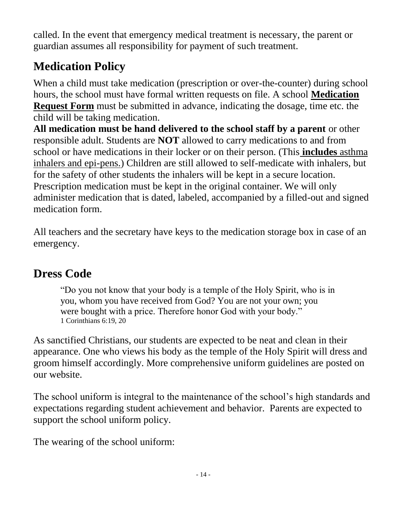called. In the event that emergency medical treatment is necessary, the parent or guardian assumes all responsibility for payment of such treatment.

# **Medication Policy**

When a child must take medication (prescription or over-the-counter) during school hours, the school must have formal written requests on file. A school **Medication Request Form** must be submitted in advance, indicating the dosage, time etc. the child will be taking medication.

**All medication must be hand delivered to the school staff by a parent** or other responsible adult. Students are **NOT** allowed to carry medications to and from school or have medications in their locker or on their person. (This **includes** asthma inhalers and epi-pens.) Children are still allowed to self-medicate with inhalers, but for the safety of other students the inhalers will be kept in a secure location. Prescription medication must be kept in the original container. We will only administer medication that is dated, labeled, accompanied by a filled-out and signed medication form.

All teachers and the secretary have keys to the medication storage box in case of an emergency.

# <span id="page-13-0"></span>**Dress Code**

"Do you not know that your body is a temple of the Holy Spirit, who is in you, whom you have received from God? You are not your own; you were bought with a price. Therefore honor God with your body." 1 Corinthians 6:19, 20

As sanctified Christians, our students are expected to be neat and clean in their appearance. One who views his body as the temple of the Holy Spirit will dress and groom himself accordingly. More comprehensive uniform guidelines are posted on our website.

The school uniform is integral to the maintenance of the school's high standards and expectations regarding student achievement and behavior. Parents are expected to support the school uniform policy.

The wearing of the school uniform: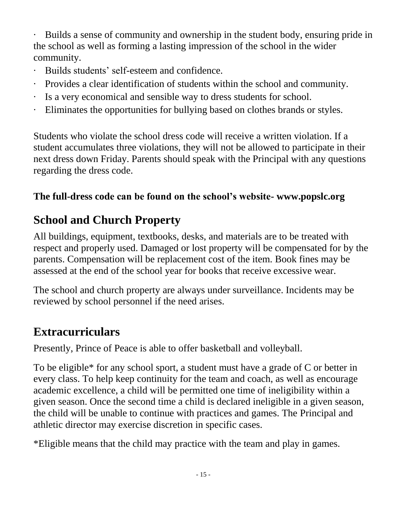· Builds a sense of community and ownership in the student body, ensuring pride in the school as well as forming a lasting impression of the school in the wider community.

- · Builds students' self-esteem and confidence.
- · Provides a clear identification of students within the school and community.
- Is a very economical and sensible way to dress students for school.
- · Eliminates the opportunities for bullying based on clothes brands or styles.

Students who violate the school dress code will receive a written violation. If a student accumulates three violations, they will not be allowed to participate in their next dress down Friday. Parents should speak with the Principal with any questions regarding the dress code.

#### **The full-dress code can be found on the school's website- www.popslc.org**

#### **School and Church Property**

All buildings, equipment, textbooks, desks, and materials are to be treated with respect and properly used. Damaged or lost property will be compensated for by the parents. Compensation will be replacement cost of the item. Book fines may be assessed at the end of the school year for books that receive excessive wear.

The school and church property are always under surveillance. Incidents may be reviewed by school personnel if the need arises.

#### <span id="page-14-0"></span>**Extracurriculars**

Presently, Prince of Peace is able to offer basketball and volleyball.

To be eligible\* for any school sport, a student must have a grade of C or better in every class. To help keep continuity for the team and coach, as well as encourage academic excellence, a child will be permitted one time of ineligibility within a given season. Once the second time a child is declared ineligible in a given season, the child will be unable to continue with practices and games. The Principal and athletic director may exercise discretion in specific cases.

<span id="page-14-1"></span>\*Eligible means that the child may practice with the team and play in games.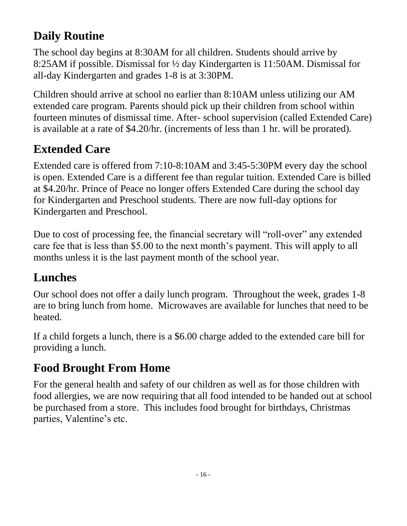# **Daily Routine**

The school day begins at 8:30AM for all children. Students should arrive by 8:25AM if possible. Dismissal for ½ day Kindergarten is 11:50AM. Dismissal for all-day Kindergarten and grades 1-8 is at 3:30PM.

Children should arrive at school no earlier than 8:10AM unless utilizing our AM extended care program. Parents should pick up their children from school within fourteen minutes of dismissal time. After- school supervision (called Extended Care) is available at a rate of \$4.20/hr. (increments of less than 1 hr. will be prorated).

# <span id="page-15-0"></span>**Extended Care**

Extended care is offered from 7:10-8:10AM and 3:45-5:30PM every day the school is open. Extended Care is a different fee than regular tuition. Extended Care is billed at \$4.20/hr. Prince of Peace no longer offers Extended Care during the school day for Kindergarten and Preschool students. There are now full-day options for Kindergarten and Preschool.

Due to cost of processing fee, the financial secretary will "roll-over" any extended care fee that is less than \$5.00 to the next month's payment. This will apply to all months unless it is the last payment month of the school year.

#### **Lunches**

Our school does not offer a daily lunch program. Throughout the week, grades 1-8 are to bring lunch from home. Microwaves are available for lunches that need to be heated.

If a child forgets a lunch, there is a \$6.00 charge added to the extended care bill for providing a lunch.

# <span id="page-15-1"></span>**Food Brought From Home**

<span id="page-15-2"></span>For the general health and safety of our children as well as for those children with food allergies, we are now requiring that all food intended to be handed out at school be purchased from a store. This includes food brought for birthdays, Christmas parties, Valentine's etc.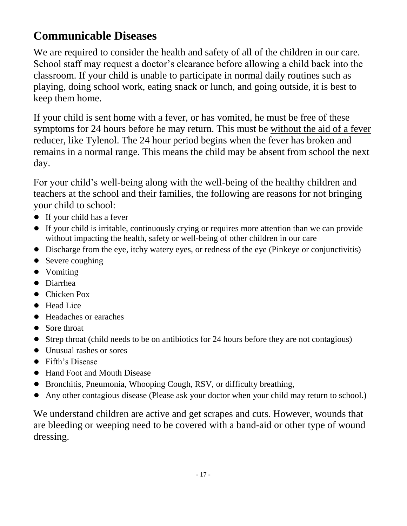## **Communicable Diseases**

We are required to consider the health and safety of all of the children in our care. School staff may request a doctor's clearance before allowing a child back into the classroom. If your child is unable to participate in normal daily routines such as playing, doing school work, eating snack or lunch, and going outside, it is best to keep them home.

If your child is sent home with a fever, or has vomited, he must be free of these symptoms for 24 hours before he may return. This must be without the aid of a fever reducer, like Tylenol. The 24 hour period begins when the fever has broken and remains in a normal range. This means the child may be absent from school the next day.

For your child's well-being along with the well-being of the healthy children and teachers at the school and their families, the following are reasons for not bringing your child to school:

- If your child has a fever
- If your child is irritable, continuously crying or requires more attention than we can provide without impacting the health, safety or well-being of other children in our care
- Discharge from the eye, itchy watery eyes, or redness of the eye (Pinkeye or conjunctivitis)
- Severe coughing
- Vomiting
- Diarrhea
- Chicken Pox
- Head Lice
- Headaches or earaches
- Sore throat
- Strep throat (child needs to be on antibiotics for 24 hours before they are not contagious)
- Unusual rashes or sores
- Fifth's Disease
- Hand Foot and Mouth Disease
- Bronchitis, Pneumonia, Whooping Cough, RSV, or difficulty breathing,
- Any other contagious disease (Please ask your doctor when your child may return to school.)

We understand children are active and get scrapes and cuts. However, wounds that are bleeding or weeping need to be covered with a band-aid or other type of wound dressing.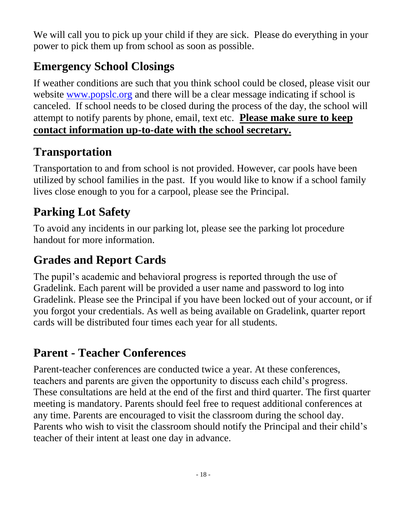We will call you to pick up your child if they are sick. Please do everything in your power to pick them up from school as soon as possible.

# <span id="page-17-0"></span>**Emergency School Closings**

If weather conditions are such that you think school could be closed, please visit our website [www.popslc.org](http://www.popslc.org/) and there will be a clear message indicating if school is canceled. If school needs to be closed during the process of the day, the school will attempt to notify parents by phone, email, text etc. **Please make sure to keep contact information up-to-date with the school secretary.**

# <span id="page-17-1"></span>**Transportation**

Transportation to and from school is not provided. However, car pools have been utilized by school families in the past. If you would like to know if a school family lives close enough to you for a carpool, please see the Principal.

## <span id="page-17-2"></span>**Parking Lot Safety**

To avoid any incidents in our parking lot, please see the parking lot procedure handout for more information.

#### <span id="page-17-3"></span>**Grades and Report Cards**

The pupil's academic and behavioral progress is reported through the use of Gradelink. Each parent will be provided a user name and password to log into Gradelink. Please see the Principal if you have been locked out of your account, or if you forgot your credentials. As well as being available on Gradelink, quarter report cards will be distributed four times each year for all students.

#### <span id="page-17-4"></span>**Parent - Teacher Conferences**

<span id="page-17-5"></span>Parent-teacher conferences are conducted twice a year. At these conferences, teachers and parents are given the opportunity to discuss each child's progress. These consultations are held at the end of the first and third quarter. The first quarter meeting is mandatory. Parents should feel free to request additional conferences at any time. Parents are encouraged to visit the classroom during the school day. Parents who wish to visit the classroom should notify the Principal and their child's teacher of their intent at least one day in advance.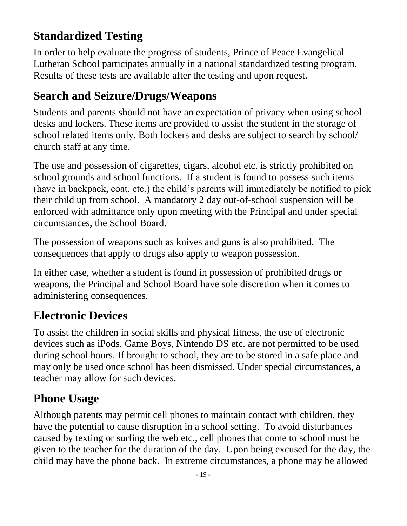#### **Standardized Testing**

In order to help evaluate the progress of students, Prince of Peace Evangelical Lutheran School participates annually in a national standardized testing program. Results of these tests are available after the testing and upon request.

#### **Search and Seizure/Drugs/Weapons**

Students and parents should not have an expectation of privacy when using school desks and lockers. These items are provided to assist the student in the storage of school related items only. Both lockers and desks are subject to search by school/ church staff at any time.

The use and possession of cigarettes, cigars, alcohol etc. is strictly prohibited on school grounds and school functions. If a student is found to possess such items (have in backpack, coat, etc.) the child's parents will immediately be notified to pick their child up from school. A mandatory 2 day out-of-school suspension will be enforced with admittance only upon meeting with the Principal and under special circumstances, the School Board.

The possession of weapons such as knives and guns is also prohibited. The consequences that apply to drugs also apply to weapon possession.

In either case, whether a student is found in possession of prohibited drugs or weapons, the Principal and School Board have sole discretion when it comes to administering consequences.

#### <span id="page-18-0"></span>**Electronic Devices**

To assist the children in social skills and physical fitness, the use of electronic devices such as iPods, Game Boys, Nintendo DS etc. are not permitted to be used during school hours. If brought to school, they are to be stored in a safe place and may only be used once school has been dismissed. Under special circumstances, a teacher may allow for such devices.

#### <span id="page-18-1"></span>**Phone Usage**

Although parents may permit cell phones to maintain contact with children, they have the potential to cause disruption in a school setting. To avoid disturbances caused by texting or surfing the web etc., cell phones that come to school must be given to the teacher for the duration of the day. Upon being excused for the day, the child may have the phone back. In extreme circumstances, a phone may be allowed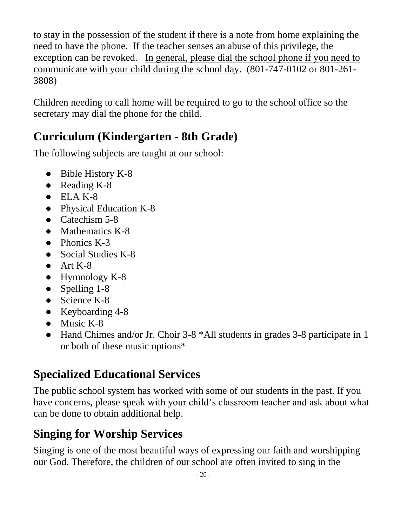to stay in the possession of the student if there is a note from home explaining the need to have the phone. If the teacher senses an abuse of this privilege, the exception can be revoked. In general, please dial the school phone if you need to communicate with your child during the school day. (801-747-0102 or 801-261- 3808)

Children needing to call home will be required to go to the school office so the secretary may dial the phone for the child.

#### <span id="page-19-0"></span>**Curriculum (Kindergarten - 8th Grade)**

The following subjects are taught at our school:

- Bible History K-8
- Reading K-8
- $\bullet$  ELA K-8
- Physical Education K-8
- Catechism 5-8
- Mathematics K-8
- Phonics K-3
- Social Studies K-8
- $\bullet$  Art K-8
- Hymnology K-8
- Spelling 1-8
- Science K-8
- Keyboarding 4-8
- Music K-8
- Hand Chimes and/or Jr. Choir 3-8 \*All students in grades 3-8 participate in 1 or both of these music options\*

#### <span id="page-19-1"></span>**Specialized Educational Services**

The public school system has worked with some of our students in the past. If you have concerns, please speak with your child's classroom teacher and ask about what can be done to obtain additional help.

# <span id="page-19-2"></span>**Singing for Worship Services**

Singing is one of the most beautiful ways of expressing our faith and worshipping our God. Therefore, the children of our school are often invited to sing in the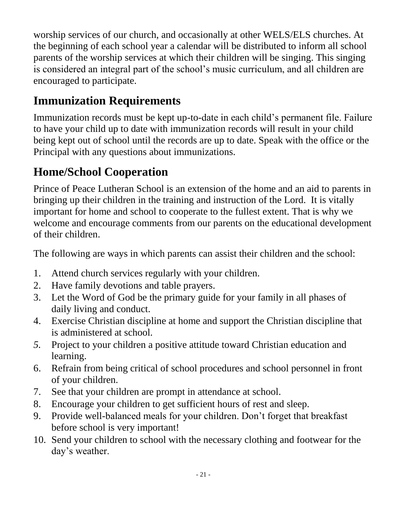worship services of our church, and occasionally at other WELS/ELS churches. At the beginning of each school year a calendar will be distributed to inform all school parents of the worship services at which their children will be singing. This singing is considered an integral part of the school's music curriculum, and all children are encouraged to participate.

# <span id="page-20-0"></span>**Immunization Requirements**

Immunization records must be kept up-to-date in each child's permanent file. Failure to have your child up to date with immunization records will result in your child being kept out of school until the records are up to date. Speak with the office or the Principal with any questions about immunizations.

# <span id="page-20-1"></span>**Home/School Cooperation**

Prince of Peace Lutheran School is an extension of the home and an aid to parents in bringing up their children in the training and instruction of the Lord. It is vitally important for home and school to cooperate to the fullest extent. That is why we welcome and encourage comments from our parents on the educational development of their children.

The following are ways in which parents can assist their children and the school:

- 1. Attend church services regularly with your children.
- 2. Have family devotions and table prayers.
- 3. Let the Word of God be the primary guide for your family in all phases of daily living and conduct.
- 4. Exercise Christian discipline at home and support the Christian discipline that is administered at school.
- *5.* Project to your children a positive attitude toward Christian education and learning.
- 6. Refrain from being critical of school procedures and school personnel in front of your children.
- 7. See that your children are prompt in attendance at school.
- 8. Encourage your children to get sufficient hours of rest and sleep.
- 9. Provide well-balanced meals for your children. Don't forget that breakfast before school is very important!
- 10. Send your children to school with the necessary clothing and footwear for the day's weather.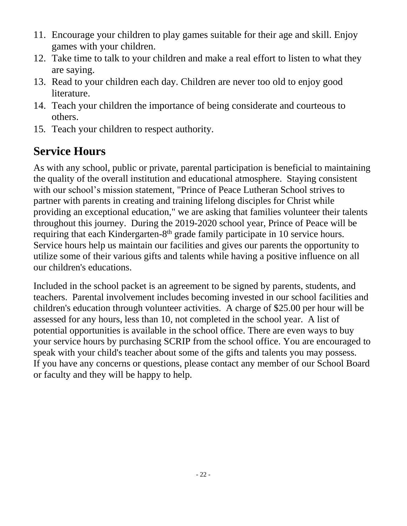- 11. Encourage your children to play games suitable for their age and skill. Enjoy games with your children.
- 12. Take time to talk to your children and make a real effort to listen to what they are saying.
- 13. Read to your children each day. Children are never too old to enjoy good literature.
- 14. Teach your children the importance of being considerate and courteous to others.
- 15*.* Teach your children to respect authority.

# <span id="page-21-0"></span>**Service Hours**

As with any school, public or private, parental participation is beneficial to maintaining the quality of the overall institution and educational atmosphere. Staying consistent with our school's mission statement, "Prince of Peace Lutheran School strives to partner with parents in creating and training lifelong disciples for Christ while providing an exceptional education," we are asking that families volunteer their talents throughout this journey. During the 2019-2020 school year, Prince of Peace will be requiring that each Kindergarten-8<sup>th</sup> grade family participate in 10 service hours. Service hours help us maintain our facilities and gives our parents the opportunity to utilize some of their various gifts and talents while having a positive influence on all our children's educations.

Included in the school packet is an agreement to be signed by parents, students, and teachers. Parental involvement includes becoming invested in our school facilities and children's education through volunteer activities. A charge of \$25.00 per hour will be assessed for any hours, less than 10, not completed in the school year. A list of potential opportunities is available in the school office. There are even ways to buy your service hours by purchasing SCRIP from the school office. You are encouraged to speak with your child's teacher about some of the gifts and talents you may possess. If you have any concerns or questions, please contact any member of our School Board or faculty and they will be happy to help.